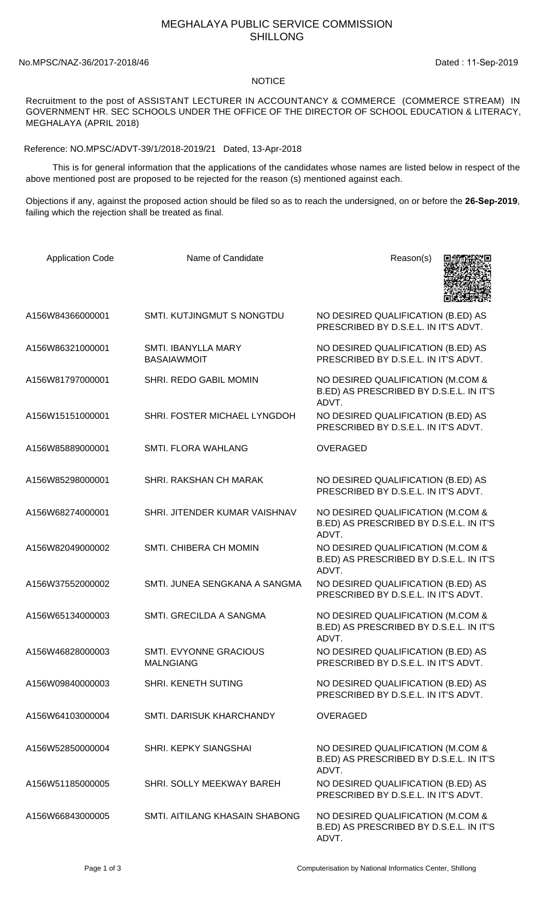## MEGHALAYA PUBLIC SERVICE COMMISSION SHILLONG

No.MPSC/NAZ-36/2017-2018/46 Dated: 11-Sep-2019

## NOTICE

Recruitment to the post of ASSISTANT LECTURER IN ACCOUNTANCY & COMMERCE (COMMERCE STREAM) IN GOVERNMENT HR. SEC SCHOOLS UNDER THE OFFICE OF THE DIRECTOR OF SCHOOL EDUCATION & LITERACY, MEGHALAYA (APRIL 2018)

Reference: NO.MPSC/ADVT-39/1/2018-2019/21 Dated, 13-Apr-2018

 This is for general information that the applications of the candidates whose names are listed below in respect of the above mentioned post are proposed to be rejected for the reason (s) mentioned against each.

Objections if any, against the proposed action should be filed so as to reach the undersigned, on or before the **26-Sep-2019**, failing which the rejection shall be treated as final.

| <b>Application Code</b> | Name of Candidate                          | Reason(s)                                                                             |
|-------------------------|--------------------------------------------|---------------------------------------------------------------------------------------|
| A156W84366000001        | SMTI. KUTJINGMUT S NONGTDU                 | NO DESIRED QUALIFICATION (B.ED) AS<br>PRESCRIBED BY D.S.E.L. IN IT'S ADVT.            |
| A156W86321000001        | SMTI. IBANYLLA MARY<br><b>BASAIAWMOIT</b>  | NO DESIRED QUALIFICATION (B.ED) AS<br>PRESCRIBED BY D.S.E.L. IN IT'S ADVT.            |
| A156W81797000001        | SHRI. REDO GABIL MOMIN                     | NO DESIRED QUALIFICATION (M.COM &<br>B.ED) AS PRESCRIBED BY D.S.E.L. IN IT'S<br>ADVT. |
| A156W15151000001        | SHRI. FOSTER MICHAEL LYNGDOH               | NO DESIRED QUALIFICATION (B.ED) AS<br>PRESCRIBED BY D.S.E.L. IN IT'S ADVT.            |
| A156W85889000001        | SMTI. FLORA WAHLANG                        | <b>OVERAGED</b>                                                                       |
| A156W85298000001        | SHRI. RAKSHAN CH MARAK                     | NO DESIRED QUALIFICATION (B.ED) AS<br>PRESCRIBED BY D.S.E.L. IN IT'S ADVT.            |
| A156W68274000001        | SHRI. JITENDER KUMAR VAISHNAV              | NO DESIRED QUALIFICATION (M.COM &<br>B.ED) AS PRESCRIBED BY D.S.E.L. IN IT'S<br>ADVT. |
| A156W82049000002        | SMTI. CHIBERA CH MOMIN                     | NO DESIRED QUALIFICATION (M.COM &<br>B.ED) AS PRESCRIBED BY D.S.E.L. IN IT'S<br>ADVT. |
| A156W37552000002        | SMTI. JUNEA SENGKANA A SANGMA              | NO DESIRED QUALIFICATION (B.ED) AS<br>PRESCRIBED BY D.S.E.L. IN IT'S ADVT.            |
| A156W65134000003        | SMTI, GRECILDA A SANGMA                    | NO DESIRED QUALIFICATION (M.COM &<br>B.ED) AS PRESCRIBED BY D.S.E.L. IN IT'S<br>ADVT. |
| A156W46828000003        | SMTI. EVYONNE GRACIOUS<br><b>MALNGIANG</b> | NO DESIRED QUALIFICATION (B.ED) AS<br>PRESCRIBED BY D.S.E.L. IN IT'S ADVT.            |
| A156W09840000003        | SHRI. KENETH SUTING                        | NO DESIRED QUALIFICATION (B.ED) AS<br>PRESCRIBED BY D.S.E.L. IN IT'S ADVT.            |
| A156W64103000004        | SMTI, DARISUK KHARCHANDY                   | <b>OVERAGED</b>                                                                       |
| A156W52850000004        | <b>SHRI. KEPKY SIANGSHAI</b>               | NO DESIRED QUALIFICATION (M.COM &<br>B.ED) AS PRESCRIBED BY D.S.E.L. IN IT'S<br>ADVT. |
| A156W51185000005        | SHRI. SOLLY MEEKWAY BAREH                  | NO DESIRED QUALIFICATION (B.ED) AS<br>PRESCRIBED BY D.S.E.L. IN IT'S ADVT.            |
| A156W66843000005        | SMTI. AITILANG KHASAIN SHABONG             | NO DESIRED QUALIFICATION (M.COM &<br>B.ED) AS PRESCRIBED BY D.S.E.L. IN IT'S<br>ADVT. |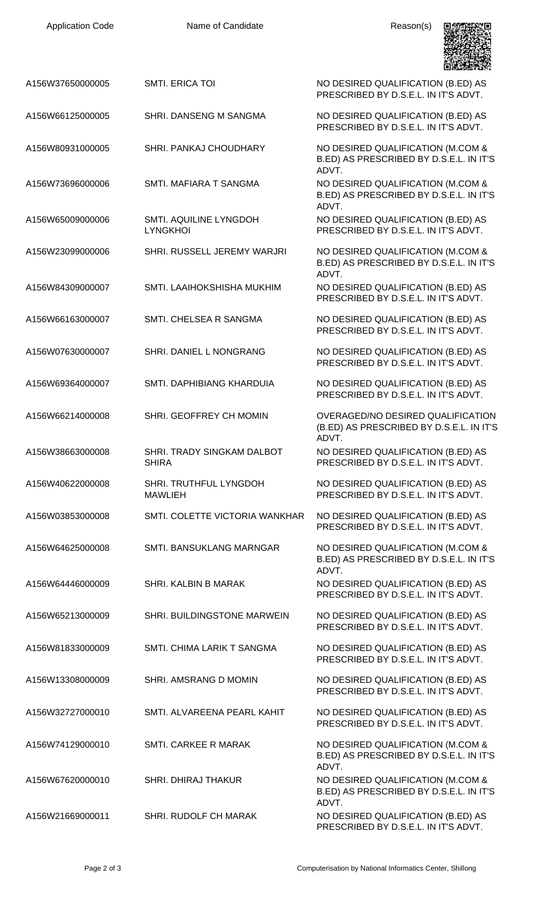

| A156W37650000005 | <b>SMTI. ERICA TOI</b>                     | NO DESIRED QUALIFICATION (B.ED) AS<br>PRESCRIBED BY D.S.E.L. IN IT'S ADVT.                     |
|------------------|--------------------------------------------|------------------------------------------------------------------------------------------------|
| A156W66125000005 | SHRI, DANSENG M SANGMA                     | NO DESIRED QUALIFICATION (B.ED) AS<br>PRESCRIBED BY D.S.E.L. IN IT'S ADVT.                     |
| A156W80931000005 | SHRI. PANKAJ CHOUDHARY                     | NO DESIRED QUALIFICATION (M.COM &<br>B.ED) AS PRESCRIBED BY D.S.E.L. IN IT'S                   |
| A156W73696000006 | SMTI. MAFIARA T SANGMA                     | ADVT.<br>NO DESIRED QUALIFICATION (M.COM &<br>B.ED) AS PRESCRIBED BY D.S.E.L. IN IT'S<br>ADVT. |
| A156W65009000006 | SMTI. AQUILINE LYNGDOH<br><b>LYNGKHOI</b>  | NO DESIRED QUALIFICATION (B.ED) AS<br>PRESCRIBED BY D.S.E.L. IN IT'S ADVT.                     |
| A156W23099000006 | SHRI. RUSSELL JEREMY WARJRI                | NO DESIRED QUALIFICATION (M.COM &<br>B.ED) AS PRESCRIBED BY D.S.E.L. IN IT'S<br>ADVT.          |
| A156W84309000007 | SMTI. LAAIHOKSHISHA MUKHIM                 | NO DESIRED QUALIFICATION (B.ED) AS<br>PRESCRIBED BY D.S.E.L. IN IT'S ADVT.                     |
| A156W66163000007 | SMTI. CHELSEA R SANGMA                     | NO DESIRED QUALIFICATION (B.ED) AS<br>PRESCRIBED BY D.S.E.L. IN IT'S ADVT.                     |
| A156W07630000007 | SHRI. DANIEL L NONGRANG                    | NO DESIRED QUALIFICATION (B.ED) AS<br>PRESCRIBED BY D.S.E.L. IN IT'S ADVT.                     |
| A156W69364000007 | SMTI. DAPHIBIANG KHARDUIA                  | NO DESIRED QUALIFICATION (B.ED) AS<br>PRESCRIBED BY D.S.E.L. IN IT'S ADVT.                     |
| A156W66214000008 | SHRI. GEOFFREY CH MOMIN                    | OVERAGED/NO DESIRED QUALIFICATION<br>(B.ED) AS PRESCRIBED BY D.S.E.L. IN IT'S<br>ADVT.         |
| A156W38663000008 | SHRI. TRADY SINGKAM DALBOT<br><b>SHIRA</b> | NO DESIRED QUALIFICATION (B.ED) AS<br>PRESCRIBED BY D.S.E.L. IN IT'S ADVT.                     |
| A156W40622000008 | SHRI. TRUTHFUL LYNGDOH<br><b>MAWLIEH</b>   | NO DESIRED QUALIFICATION (B.ED) AS<br>PRESCRIBED BY D.S.E.L. IN IT'S ADVT.                     |
| A156W03853000008 | SMTI. COLETTE VICTORIA WANKHAR             | NO DESIRED QUALIFICATION (B.ED) AS<br>PRESCRIBED BY D.S.E.L. IN IT'S ADVT.                     |
| A156W64625000008 | <b>SMTI. BANSUKLANG MARNGAR</b>            | NO DESIRED QUALIFICATION (M.COM &<br>B.ED) AS PRESCRIBED BY D.S.E.L. IN IT'S<br>ADVT.          |
| A156W64446000009 | SHRI, KALBIN B MARAK                       | NO DESIRED QUALIFICATION (B.ED) AS<br>PRESCRIBED BY D.S.E.L. IN IT'S ADVT.                     |
| A156W65213000009 | SHRI. BUILDINGSTONE MARWEIN                | NO DESIRED QUALIFICATION (B.ED) AS<br>PRESCRIBED BY D.S.E.L. IN IT'S ADVT.                     |
| A156W81833000009 | SMTI. CHIMA LARIK T SANGMA                 | NO DESIRED QUALIFICATION (B.ED) AS<br>PRESCRIBED BY D.S.E.L. IN IT'S ADVT.                     |
| A156W13308000009 | SHRI. AMSRANG D MOMIN                      | NO DESIRED QUALIFICATION (B.ED) AS<br>PRESCRIBED BY D.S.E.L. IN IT'S ADVT.                     |
| A156W32727000010 | SMTI, ALVAREENA PEARL KAHIT                | NO DESIRED QUALIFICATION (B.ED) AS<br>PRESCRIBED BY D.S.E.L. IN IT'S ADVT.                     |
| A156W74129000010 | <b>SMTI. CARKEE R MARAK</b>                | NO DESIRED QUALIFICATION (M.COM &<br>B.ED) AS PRESCRIBED BY D.S.E.L. IN IT'S<br>ADVT.          |
| A156W67620000010 | <b>SHRI. DHIRAJ THAKUR</b>                 | NO DESIRED QUALIFICATION (M.COM &<br>B.ED) AS PRESCRIBED BY D.S.E.L. IN IT'S<br>ADVT.          |
| A156W21669000011 | <b>SHRI. RUDOLF CH MARAK</b>               | NO DESIRED QUALIFICATION (B.ED) AS<br>PRESCRIBED BY D.S.E.L. IN IT'S ADVT.                     |